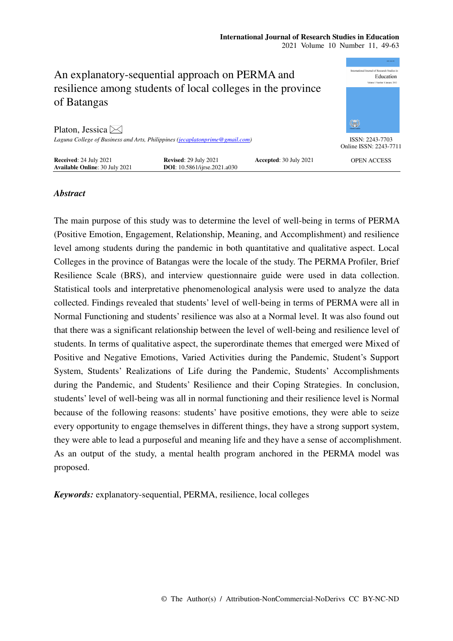

# *Abstract*

The main purpose of this study was to determine the level of well-being in terms of PERMA (Positive Emotion, Engagement, Relationship, Meaning, and Accomplishment) and resilience level among students during the pandemic in both quantitative and qualitative aspect. Local Colleges in the province of Batangas were the locale of the study. The PERMA Profiler, Brief Resilience Scale (BRS), and interview questionnaire guide were used in data collection. Statistical tools and interpretative phenomenological analysis were used to analyze the data collected. Findings revealed that students' level of well-being in terms of PERMA were all in Normal Functioning and students' resilience was also at a Normal level. It was also found out that there was a significant relationship between the level of well-being and resilience level of students. In terms of qualitative aspect, the superordinate themes that emerged were Mixed of Positive and Negative Emotions, Varied Activities during the Pandemic, Student's Support System, Students' Realizations of Life during the Pandemic, Students' Accomplishments during the Pandemic, and Students' Resilience and their Coping Strategies. In conclusion, students' level of well-being was all in normal functioning and their resilience level is Normal because of the following reasons: students' have positive emotions, they were able to seize every opportunity to engage themselves in different things, they have a strong support system, they were able to lead a purposeful and meaning life and they have a sense of accomplishment. As an output of the study, a mental health program anchored in the PERMA model was proposed.

*Keywords:* explanatory-sequential, PERMA, resilience, local colleges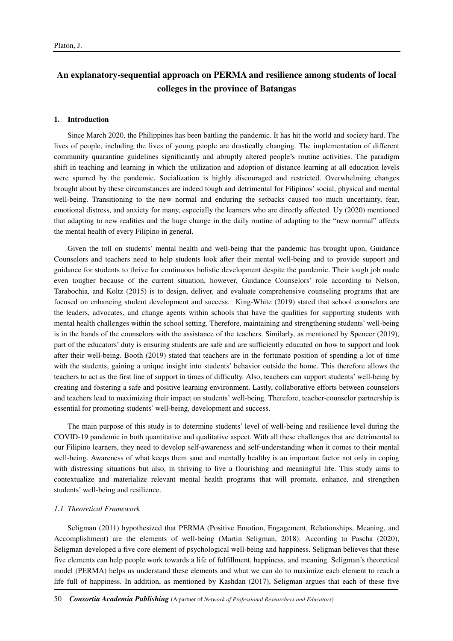# **An explanatory-sequential approach on PERMA and resilience among students of local colleges in the province of Batangas**

#### **1. Introduction**

Since March 2020, the Philippines has been battling the pandemic. It has hit the world and society hard. The lives of people, including the lives of young people are drastically changing. The implementation of different community quarantine guidelines significantly and abruptly altered people's routine activities. The paradigm shift in teaching and learning in which the utilization and adoption of distance learning at all education levels were spurred by the pandemic. Socialization is highly discouraged and restricted. Overwhelming changes brought about by these circumstances are indeed tough and detrimental for Filipinos' social, physical and mental well-being. Transitioning to the new normal and enduring the setbacks caused too much uncertainty, fear, emotional distress, and anxiety for many, especially the learners who are directly affected. Uy (2020) mentioned that adapting to new realities and the huge change in the daily routine of adapting to the "new normal" affects the mental health of every Filipino in general.

Given the toll on students' mental health and well-being that the pandemic has brought upon, Guidance Counselors and teachers need to help students look after their mental well-being and to provide support and guidance for students to thrive for continuous holistic development despite the pandemic. Their tough job made even tougher because of the current situation, however, Guidance Counselors' role according to Nelson, Tarabochia, and Koltz (2015) is to design, deliver, and evaluate comprehensive counseling programs that are focused on enhancing student development and success. King-White (2019) stated that school counselors are the leaders, advocates, and change agents within schools that have the qualities for supporting students with mental health challenges within the school setting. Therefore, maintaining and strengthening students' well-being is in the hands of the counselors with the assistance of the teachers. Similarly, as mentioned by Spencer (2019), part of the educators' duty is ensuring students are safe and are sufficiently educated on how to support and look after their well-being. Booth (2019) stated that teachers are in the fortunate position of spending a lot of time with the students, gaining a unique insight into students' behavior outside the home. This therefore allows the teachers to act as the first line of support in times of difficulty. Also, teachers can support students' well-being by creating and fostering a safe and positive learning environment. Lastly, collaborative efforts between counselors and teachers lead to maximizing their impact on students' well-being. Therefore, teacher-counselor partnership is essential for promoting students' well-being, development and success.

The main purpose of this study is to determine students' level of well-being and resilience level during the COVID-19 pandemic in both quantitative and qualitative aspect. With all these challenges that are detrimental to our Filipino learners, they need to develop self-awareness and self-understanding when it comes to their mental well-being. Awareness of what keeps them sane and mentally healthy is an important factor not only in coping with distressing situations but also, in thriving to live a flourishing and meaningful life. This study aims to contextualize and materialize relevant mental health programs that will promote, enhance, and strengthen students' well-being and resilience.

# *1.1 Theoretical Framework*

Seligman (2011) hypothesized that PERMA (Positive Emotion, Engagement, Relationships, Meaning, and Accomplishment) are the elements of well-being (Martin Seligman, 2018). According to Pascha (2020), Seligman developed a five core element of psychological well-being and happiness. Seligman believes that these five elements can help people work towards a life of fulfillment, happiness, and meaning. Seligman's theoretical model (PERMA) helps us understand these elements and what we can do to maximize each element to reach a life full of happiness. In addition, as mentioned by Kashdan (2017), Seligman argues that each of these five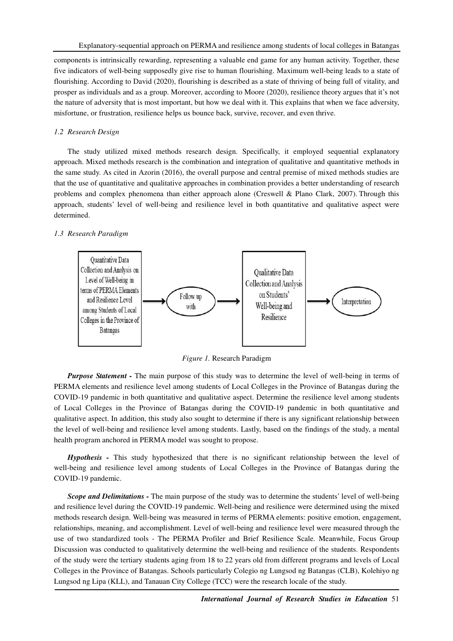components is intrinsically rewarding, representing a valuable end game for any human activity. Together, these five indicators of well-being supposedly give rise to human flourishing. Maximum well-being leads to a state of flourishing. According to David (2020), flourishing is described as a state of thriving of being full of vitality, and prosper as individuals and as a group. Moreover, according to Moore (2020), resilience theory argues that it's not the nature of adversity that is most important, but how we deal with it. This explains that when we face adversity, misfortune, or frustration, resilience helps us bounce back, survive, recover, and even thrive.

# *1.2 Research Design*

The study utilized mixed methods research design. Specifically, it employed sequential explanatory approach. Mixed methods research is the combination and integration of qualitative and quantitative methods in the same study. As cited in Azorin (2016), the overall purpose and central premise of mixed methods studies are that the use of quantitative and qualitative approaches in combination provides a better understanding of research problems and complex phenomena than either approach alone (Creswell & Plano Clark, 2007). Through this approach, students' level of well-being and resilience level in both quantitative and qualitative aspect were determined.

# *1.3 Research Paradigm*



*Figure 1.* Research Paradigm

*Purpose Statement* - The main purpose of this study was to determine the level of well-being in terms of PERMA elements and resilience level among students of Local Colleges in the Province of Batangas during the COVID-19 pandemic in both quantitative and qualitative aspect. Determine the resilience level among students of Local Colleges in the Province of Batangas during the COVID-19 pandemic in both quantitative and qualitative aspect. In addition, this study also sought to determine if there is any significant relationship between the level of well-being and resilience level among students. Lastly, based on the findings of the study, a mental health program anchored in PERMA model was sought to propose.

*Hypothesis -* This study hypothesized that there is no significant relationship between the level of well-being and resilience level among students of Local Colleges in the Province of Batangas during the COVID-19 pandemic.

*Scope and Delimitations -* The main purpose of the study was to determine the students' level of well-being and resilience level during the COVID-19 pandemic. Well-being and resilience were determined using the mixed methods research design. Well-being was measured in terms of PERMA elements: positive emotion, engagement, relationships, meaning, and accomplishment. Level of well-being and resilience level were measured through the use of two standardized tools - The PERMA Profiler and Brief Resilience Scale. Meanwhile, Focus Group Discussion was conducted to qualitatively determine the well-being and resilience of the students. Respondents of the study were the tertiary students aging from 18 to 22 years old from different programs and levels of Local Colleges in the Province of Batangas. Schools particularly Colegio ng Lungsod ng Batangas (CLB), Kolehiyo ng Lungsod ng Lipa (KLL), and Tanauan City College (TCC) were the research locale of the study.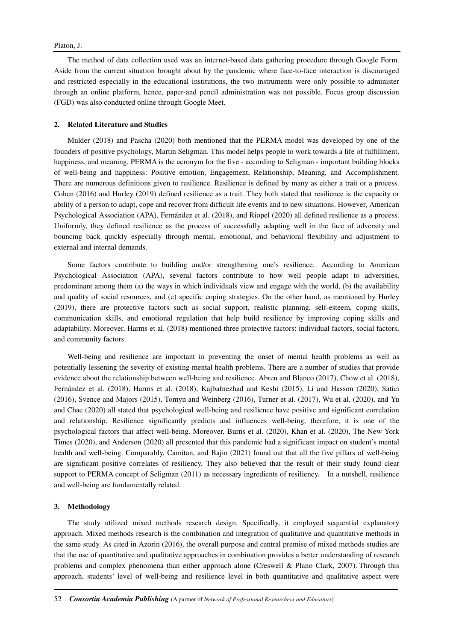The method of data collection used was an internet-based data gathering procedure through Google Form. Aside from the current situation brought about by the pandemic where face-to-face interaction is discouraged and restricted especially in the educational institutions, the two instruments were only possible to administer through an online platform, hence, paper-and pencil administration was not possible. Focus group discussion (FGD) was also conducted online through Google Meet.

# **2. Related Literature and Studies**

Mulder (2018) and Pascha (2020) both mentioned that the PERMA model was developed by one of the founders of positive psychology, Martin Seligman. This model helps people to work towards a life of fulfillment, happiness, and meaning. PERMA is the acronym for the five - according to Seligman - important building blocks of well-being and happiness: Positive emotion, Engagement, Relationship, Meaning, and Accomplishment. There are numerous definitions given to resilience. Resilience is defined by many as either a trait or a process. Cohen (2016) and Hurley (2019) defined resilience as a trait. They both stated that resilience is the capacity or ability of a person to adapt, cope and recover from difficult life events and to new situations. However, American Psychological Association (APA), Fernández et al. (2018), and Riopel (2020) all defined resilience as a process. Uniformly, they defined resilience as the process of successfully adapting well in the face of adversity and bouncing back quickly especially through mental, emotional, and behavioral flexibility and adjustment to external and internal demands.

Some factors contribute to building and/or strengthening one's resilience. According to American Psychological Association (APA), several factors contribute to how well people adapt to adversities, predominant among them (a) the ways in which individuals view and engage with the world, (b) the availability and quality of social resources, and (c) specific coping strategies. On the other hand, as mentioned by Hurley (2019), there are protective factors such as social support, realistic planning, self-esteem, coping skills, communication skills, and emotional regulation that help build resilience by improving coping skills and adaptability. Moreover, Harms et al. (2018) mentioned three protective factors: individual factors, social factors, and community factors.

Well-being and resilience are important in preventing the onset of mental health problems as well as potentially lessening the severity of existing mental health problems. There are a number of studies that provide evidence about the relationship between well-being and resilience. Abreu and Blanco (2017), Chow et al. (2018), Fernández et al. (2018), Harms et al. (2018), Kajbafnezhad and Keshi (2015), Li and Hasson (2020), Satici (2016), Svence and Majors (2015), Tomyn and Weinberg (2016), Turner et al. (2017), Wu et al. (2020), and Yu and Chae (2020) all stated that psychological well-being and resilience have positive and significant correlation and relationship. Resilience significantly predicts and influences well-being, therefore, it is one of the psychological factors that affect well-being. Moreover, Burns et al. (2020), Khan et al. (2020), The New York Times (2020), and Anderson (2020) all presented that this pandemic had a significant impact on student's mental health and well-being. Comparably, Camitan, and Bajin (2021) found out that all the five pillars of well-being are significant positive correlates of resiliency. They also believed that the result of their study found clear support to PERMA concept of Seligman (2011) as necessary ingredients of resiliency. In a nutshell, resilience and well-being are fundamentally related.

#### **3. Methodology**

The study utilized mixed methods research design. Specifically, it employed sequential explanatory approach. Mixed methods research is the combination and integration of qualitative and quantitative methods in the same study. As cited in Azorin (2016), the overall purpose and central premise of mixed methods studies are that the use of quantitative and qualitative approaches in combination provides a better understanding of research problems and complex phenomena than either approach alone (Creswell & Plano Clark, 2007). Through this approach, students' level of well-being and resilience level in both quantitative and qualitative aspect were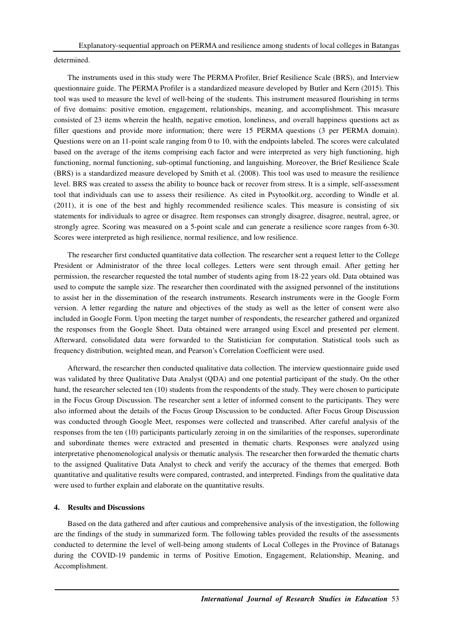determined.

The instruments used in this study were The PERMA Profiler, Brief Resilience Scale (BRS), and Interview questionnaire guide. The PERMA Profiler is a standardized measure developed by Butler and Kern (2015). This tool was used to measure the level of well-being of the students. This instrument measured flourishing in terms of five domains: positive emotion, engagement, relationships, meaning, and accomplishment. This measure consisted of 23 items wherein the health, negative emotion, loneliness, and overall happiness questions act as filler questions and provide more information; there were 15 PERMA questions (3 per PERMA domain). Questions were on an 11-point scale ranging from 0 to 10, with the endpoints labeled. The scores were calculated based on the average of the items comprising each factor and were interpreted as very high functioning, high functioning, normal functioning, sub-optimal functioning, and languishing. Moreover, the Brief Resilience Scale (BRS) is a standardized measure developed by Smith et al. (2008). This tool was used to measure the resilience level. BRS was created to assess the ability to bounce back or recover from stress. It is a simple, self-assessment tool that individuals can use to assess their resilience. As cited in Psytoolkit.org, according to Windle et al. (2011), it is one of the best and highly recommended resilience scales. This measure is consisting of six statements for individuals to agree or disagree. Item responses can strongly disagree, disagree, neutral, agree, or strongly agree. Scoring was measured on a 5-point scale and can generate a resilience score ranges from 6-30. Scores were interpreted as high resilience, normal resilience, and low resilience.

The researcher first conducted quantitative data collection. The researcher sent a request letter to the College President or Administrator of the three local colleges. Letters were sent through email. After getting her permission, the researcher requested the total number of students aging from 18-22 years old. Data obtained was used to compute the sample size. The researcher then coordinated with the assigned personnel of the institutions to assist her in the dissemination of the research instruments. Research instruments were in the Google Form version. A letter regarding the nature and objectives of the study as well as the letter of consent were also included in Google Form. Upon meeting the target number of respondents, the researcher gathered and organized the responses from the Google Sheet. Data obtained were arranged using Excel and presented per element. Afterward, consolidated data were forwarded to the Statistician for computation. Statistical tools such as frequency distribution, weighted mean, and Pearson's Correlation Coefficient were used.

Afterward, the researcher then conducted qualitative data collection. The interview questionnaire guide used was validated by three Qualitative Data Analyst (QDA) and one potential participant of the study. On the other hand, the researcher selected ten (10) students from the respondents of the study. They were chosen to participate in the Focus Group Discussion. The researcher sent a letter of informed consent to the participants. They were also informed about the details of the Focus Group Discussion to be conducted. After Focus Group Discussion was conducted through Google Meet, responses were collected and transcribed. After careful analysis of the responses from the ten (10) participants particularly zeroing in on the similarities of the responses, superordinate and subordinate themes were extracted and presented in thematic charts. Responses were analyzed using interpretative phenomenological analysis or thematic analysis. The researcher then forwarded the thematic charts to the assigned Qualitative Data Analyst to check and verify the accuracy of the themes that emerged. Both quantitative and qualitative results were compared, contrasted, and interpreted. Findings from the qualitative data were used to further explain and elaborate on the quantitative results.

# **4. Results and Discussions**

Based on the data gathered and after cautious and comprehensive analysis of the investigation, the following are the findings of the study in summarized form. The following tables provided the results of the assessments conducted to determine the level of well-being among students of Local Colleges in the Province of Batanags during the COVID-19 pandemic in terms of Positive Emotion, Engagement, Relationship, Meaning, and Accomplishment.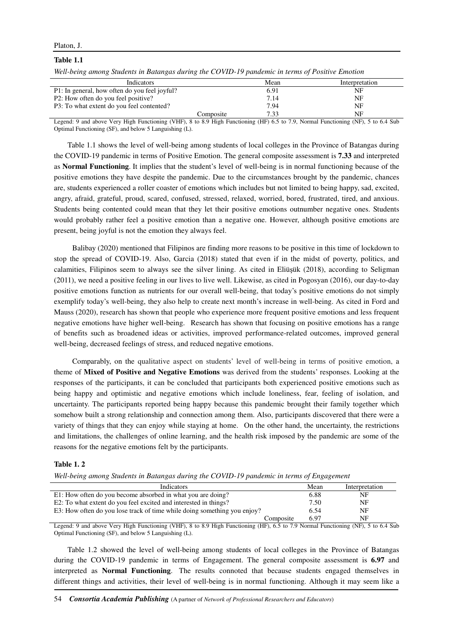### **Table 1.1**

*Well-being among Students in Batangas during the COVID-19 pandemic in terms of Positive Emotion* 

| Indicators                                    | Mean | Interpretation |
|-----------------------------------------------|------|----------------|
| P1: In general, how often do you feel joyful? | 6.91 | NF             |
| P2: How often do you feel positive?           | 7.14 | NF             |
| P3: To what extent do you feel contented?     | 7.94 | NF             |
| Composite                                     | 7 33 | NF             |

Legend: 9 and above Very High Functioning (VHF), 8 to 8.9 High Functioning (HF) 6.5 to 7.9, Normal Functioning (NF), 5 to 6.4 Sub Optimal Functioning (SF), and below 5 Languishing (L).

Table 1.1 shows the level of well-being among students of local colleges in the Province of Batangas during the COVID-19 pandemic in terms of Positive Emotion. The general composite assessment is **7.33** and interpreted as **Normal Functioning**. It implies that the student's level of well-being is in normal functioning because of the positive emotions they have despite the pandemic. Due to the circumstances brought by the pandemic, chances are, students experienced a roller coaster of emotions which includes but not limited to being happy, sad, excited, angry, afraid, grateful, proud, scared, confused, stressed, relaxed, worried, bored, frustrated, tired, and anxious. Students being contented could mean that they let their positive emotions outnumber negative ones. Students would probably rather feel a positive emotion than a negative one. However, although positive emotions are present, being joyful is not the emotion they always feel.

 Balibay (2020) mentioned that Filipinos are finding more reasons to be positive in this time of lockdown to stop the spread of COVID-19. Also, Garcia (2018) stated that even if in the midst of poverty, politics, and calamities, Filipinos seem to always see the silver lining. As cited in Eliüşük (2018), according to Seligman (2011), we need a positive feeling in our lives to live well. Likewise, as cited in Pogosyan (2016), our day-to-day positive emotions function as nutrients for our overall well-being, that today's positive emotions do not simply exemplify today's well-being, they also help to create next month's increase in well-being. As cited in Ford and Mauss (2020), research has shown that people who experience more frequent positive emotions and less frequent negative emotions have higher well-being. Research has shown that focusing on positive emotions has a range of benefits such as broadened ideas or activities, improved performance-related outcomes, improved general well-being, decreased feelings of stress, and reduced negative emotions.

 Comparably, on the qualitative aspect on students' level of well-being in terms of positive emotion, a theme of **Mixed of Positive and Negative Emotions** was derived from the students' responses. Looking at the responses of the participants, it can be concluded that participants both experienced positive emotions such as being happy and optimistic and negative emotions which include loneliness, fear, feeling of isolation, and uncertainty. The participants reported being happy because this pandemic brought their family together which somehow built a strong relationship and connection among them. Also, participants discovered that there were a variety of things that they can enjoy while staying at home. On the other hand, the uncertainty, the restrictions and limitations, the challenges of online learning, and the health risk imposed by the pandemic are some of the reasons for the negative emotions felt by the participants.

# **Table 1. 2**

| <b>Indicators</b>                                                        |           | Mean | Interpretation |
|--------------------------------------------------------------------------|-----------|------|----------------|
| E1: How often do you become absorbed in what you are doing?              |           | 6.88 | NF             |
| E2: To what extent do you feel excited and interested in things?         |           | 7.50 | NF             |
| E3: How often do you lose track of time while doing something you enjoy? |           | 6.54 | NF             |
|                                                                          | Composite | 6.97 | NF             |

Legend: 9 and above Very High Functioning (VHF), 8 to 8.9 High Functioning (HF), 6.5 to 7.9 Normal Functioning (NF), 5 to 6.4 Sub Optimal Functioning (SF), and below 5 Languishing (L).

Table 1.2 showed the level of well-being among students of local colleges in the Province of Batangas during the COVID-19 pandemic in terms of Engagement. The general composite assessment is **6.97** and interpreted as **Normal Functioning**. The results connoted that because students engaged themselves in different things and activities, their level of well-being is in normal functioning. Although it may seem like a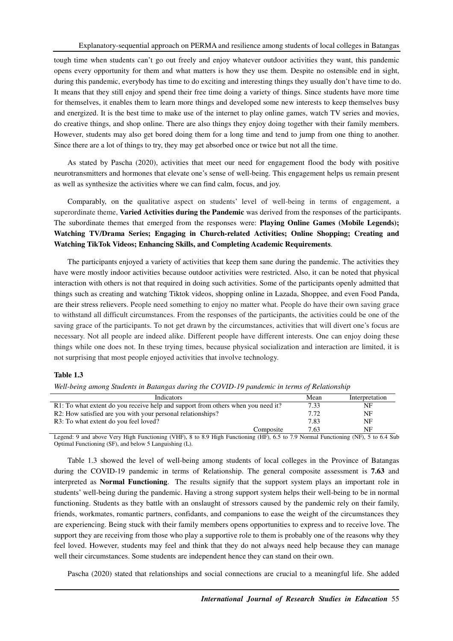tough time when students can't go out freely and enjoy whatever outdoor activities they want, this pandemic opens every opportunity for them and what matters is how they use them. Despite no ostensible end in sight, during this pandemic, everybody has time to do exciting and interesting things they usually don't have time to do. It means that they still enjoy and spend their free time doing a variety of things. Since students have more time for themselves, it enables them to learn more things and developed some new interests to keep themselves busy and energized. It is the best time to make use of the internet to play online games, watch TV series and movies, do creative things, and shop online. There are also things they enjoy doing together with their family members. However, students may also get bored doing them for a long time and tend to jump from one thing to another. Since there are a lot of things to try, they may get absorbed once or twice but not all the time.

As stated by Pascha (2020), activities that meet our need for engagement flood the body with positive neurotransmitters and hormones that elevate one's sense of well-being. This engagement helps us remain present as well as synthesize the activities where we can find calm, focus, and joy.

Comparably, on the qualitative aspect on students' level of well-being in terms of engagement, a superordinate theme, **Varied Activities during the Pandemic** was derived from the responses of the participants. The subordinate themes that emerged from the responses were: **Playing Online Games (Mobile Legends); Watching TV/Drama Series; Engaging in Church-related Activities; Online Shopping; Creating and Watching TikTok Videos; Enhancing Skills, and Completing Academic Requirements**.

The participants enjoyed a variety of activities that keep them sane during the pandemic. The activities they have were mostly indoor activities because outdoor activities were restricted. Also, it can be noted that physical interaction with others is not that required in doing such activities. Some of the participants openly admitted that things such as creating and watching Tiktok videos, shopping online in Lazada, Shoppee, and even Food Panda, are their stress relievers. People need something to enjoy no matter what. People do have their own saving grace to withstand all difficult circumstances. From the responses of the participants, the activities could be one of the saving grace of the participants. To not get drawn by the circumstances, activities that will divert one's focus are necessary. Not all people are indeed alike. Different people have different interests. One can enjoy doing these things while one does not. In these trying times, because physical socialization and interaction are limited, it is not surprising that most people enjoyed activities that involve technology.

# **Table 1.3**

*Well-being among Students in Batangas during the COVID-19 pandemic in terms of Relationship* 

| <b>Indicators</b>                                                                | Mean | Interpretation |
|----------------------------------------------------------------------------------|------|----------------|
| R1: To what extent do you receive help and support from others when you need it? | 7.33 | NF             |
| R2: How satisfied are you with your personal relationships?                      | 7.72 | NF             |
| R3: To what extent do you feel loved?                                            | 7.83 | NF             |
| Composite                                                                        | 7.63 | NF             |

Legend: 9 and above Very High Functioning (VHF), 8 to 8.9 High Functioning (HF), 6.5 to 7.9 Normal Functioning (NF), 5 to 6.4 Sub Optimal Functioning (SF), and below 5 Languishing (L).

Table 1.3 showed the level of well-being among students of local colleges in the Province of Batangas during the COVID-19 pandemic in terms of Relationship. The general composite assessment is **7.63** and interpreted as **Normal Functioning**. The results signify that the support system plays an important role in students' well-being during the pandemic. Having a strong support system helps their well-being to be in normal functioning. Students as they battle with an onslaught of stressors caused by the pandemic rely on their family, friends, workmates, romantic partners, confidants, and companions to ease the weight of the circumstances they are experiencing. Being stuck with their family members opens opportunities to express and to receive love. The support they are receiving from those who play a supportive role to them is probably one of the reasons why they feel loved. However, students may feel and think that they do not always need help because they can manage well their circumstances. Some students are independent hence they can stand on their own.

Pascha (2020) stated that relationships and social connections are crucial to a meaningful life. She added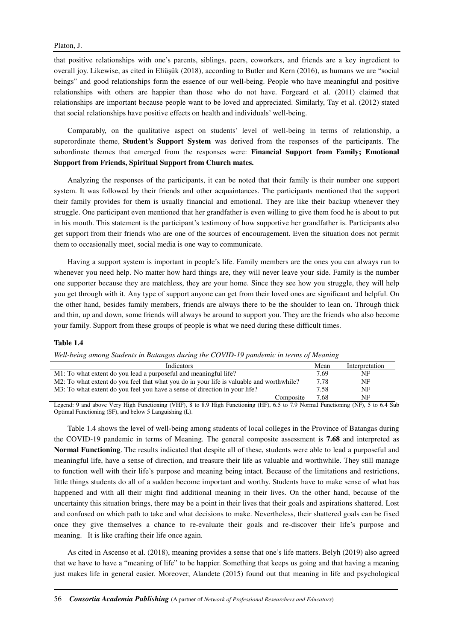that positive relationships with one's parents, siblings, peers, coworkers, and friends are a key ingredient to overall joy. Likewise, as cited in Eliüşük (2018), according to Butler and Kern (2016), as humans we are "social beings" and good relationships form the essence of our well-being. People who have meaningful and positive relationships with others are happier than those who do not have. Forgeard et al. (2011) claimed that relationships are important because people want to be loved and appreciated. Similarly, Tay et al. (2012) stated that social relationships have positive effects on health and individuals' well-being.

Comparably, on the qualitative aspect on students' level of well-being in terms of relationship, a superordinate theme, **Student's Support System** was derived from the responses of the participants. The subordinate themes that emerged from the responses were: **Financial Support from Family; Emotional Support from Friends, Spiritual Support from Church mates.**

Analyzing the responses of the participants, it can be noted that their family is their number one support system. It was followed by their friends and other acquaintances. The participants mentioned that the support their family provides for them is usually financial and emotional. They are like their backup whenever they struggle. One participant even mentioned that her grandfather is even willing to give them food he is about to put in his mouth. This statement is the participant's testimony of how supportive her grandfather is. Participants also get support from their friends who are one of the sources of encouragement. Even the situation does not permit them to occasionally meet, social media is one way to communicate.

Having a support system is important in people's life. Family members are the ones you can always run to whenever you need help. No matter how hard things are, they will never leave your side. Family is the number one supporter because they are matchless, they are your home. Since they see how you struggle, they will help you get through with it. Any type of support anyone can get from their loved ones are significant and helpful. On the other hand, besides family members, friends are always there to be the shoulder to lean on. Through thick and thin, up and down, some friends will always be around to support you. They are the friends who also become your family. Support from these groups of people is what we need during these difficult times.

#### **Table 1.4**

*Well-being among Students in Batangas during the COVID-19 pandemic in terms of Meaning* 

| <b>Indicators</b>                                                                        | Mean | Interpretation |
|------------------------------------------------------------------------------------------|------|----------------|
| M1: To what extent do you lead a purposeful and meaningful life?                         | 7.69 | NF             |
| M2: To what extent do you feel that what you do in your life is valuable and worthwhile? |      | NF             |
| M3: To what extent do you feel you have a sense of direction in your life?               |      | NF             |
| Composite                                                                                | 7.68 | NF             |

Legend: 9 and above Very High Functioning (VHF), 8 to 8.9 High Functioning (HF), 6.5 to 7.9 Normal Functioning (NF), 5 to 6.4 Sub Optimal Functioning (SF), and below 5 Languishing (L).

Table 1.4 shows the level of well-being among students of local colleges in the Province of Batangas during the COVID-19 pandemic in terms of Meaning. The general composite assessment is **7.68** and interpreted as **Normal Functioning**. The results indicated that despite all of these, students were able to lead a purposeful and meaningful life, have a sense of direction, and treasure their life as valuable and worthwhile. They still manage to function well with their life's purpose and meaning being intact. Because of the limitations and restrictions, little things students do all of a sudden become important and worthy. Students have to make sense of what has happened and with all their might find additional meaning in their lives. On the other hand, because of the uncertainty this situation brings, there may be a point in their lives that their goals and aspirations shattered. Lost and confused on which path to take and what decisions to make. Nevertheless, their shattered goals can be fixed once they give themselves a chance to re-evaluate their goals and re-discover their life's purpose and meaning. It is like crafting their life once again.

As cited in Ascenso et al. (2018), meaning provides a sense that one's life matters. Belyh (2019) also agreed that we have to have a "meaning of life" to be happier. Something that keeps us going and that having a meaning just makes life in general easier. Moreover, Alandete (2015) found out that meaning in life and psychological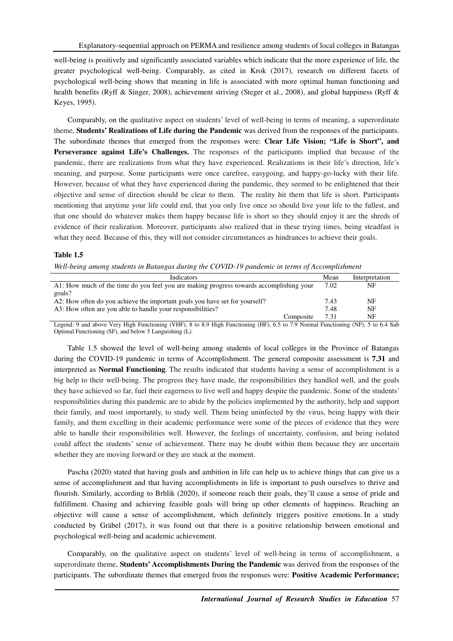well-being is positively and significantly associated variables which indicate that the more experience of life, the greater psychological well-being. Comparably, as cited in Krok (2017), research on different facets of psychological well-being shows that meaning in life is associated with more optimal human functioning and health benefits (Ryff & Singer, 2008), achievement striving (Steger et al., 2008), and global happiness (Ryff & Keyes, 1995).

Comparably, on the qualitative aspect on students' level of well-being in terms of meaning, a superordinate theme, **Students' Realizations of Life during the Pandemic** was derived from the responses of the participants. The subordinate themes that emerged from the responses were: **Clear Life Vision; "Life is Short", and Perseverance against Life's Challenges.** The responses of the participants implied that because of the pandemic, there are realizations from what they have experienced. Realizations in their life's direction, life's meaning, and purpose. Some participants were once carefree, easygoing, and happy-go-lucky with their life. However, because of what they have experienced during the pandemic, they seemed to be enlightened that their objective and sense of direction should be clear to them. The reality hit them that life is short. Participants mentioning that anytime your life could end, that you only live once so should live your life to the fullest, and that one should do whatever makes them happy because life is short so they should enjoy it are the shreds of evidence of their realization. Moreover, participants also realized that in these trying times, being steadfast is what they need. Because of this, they will not consider circumstances as hindrances to achieve their goals.

# **Table 1.5**

|  |  | Well-being among students in Batangas during the COVID-19 pandemic in terms of Accomplishment |  |
|--|--|-----------------------------------------------------------------------------------------------|--|
|  |  |                                                                                               |  |

| <b>Indicators</b>                                                                       | Mean | Interpretation |
|-----------------------------------------------------------------------------------------|------|----------------|
| A1: How much of the time do you feel you are making progress towards accomplishing your | 7.02 | NF             |
| goals?                                                                                  |      |                |
| A2: How often do you achieve the important goals you have set for yourself?             | 7.43 | NF             |
| A3: How often are you able to handle your responsibilities?                             | 7.48 | NF             |
| Composite                                                                               | 7.31 | NF             |

Legend: 9 and above Very High Functioning (VHF), 8 to 8.9 High Functioning (HF), 6.5 to 7.9 Normal Functioning (NF), 5 to 6.4 Sub Optimal Functioning (SF), and below 5 Languishing (L).

Table 1.5 showed the level of well-being among students of local colleges in the Province of Batangas during the COVID-19 pandemic in terms of Accomplishment. The general composite assessment is **7.31** and interpreted as **Normal Functioning**. The results indicated that students having a sense of accomplishment is a big help to their well-being. The progress they have made, the responsibilities they handled well, and the goals they have achieved so far, fuel their eagerness to live well and happy despite the pandemic. Some of the students' responsibilities during this pandemic are to abide by the policies implemented by the authority, help and support their family, and most importantly, to study well. Them being uninfected by the virus, being happy with their family, and them excelling in their academic performance were some of the pieces of evidence that they were able to handle their responsibilities well. However, the feelings of uncertainty, confusion, and being isolated could affect the students' sense of achievement. There may be doubt within them because they are uncertain whether they are moving forward or they are stuck at the moment.

Pascha (2020) stated that having goals and ambition in life can help us to achieve things that can give us a sense of accomplishment and that having accomplishments in life is important to push ourselves to thrive and flourish. Similarly, according to Brhlik (2020), if someone reach their goals, they'll cause a sense of pride and fulfillment. Chasing and achieving feasible goals will bring up other elements of happiness. Reaching an objective will cause a sense of accomplishment, which definitely triggers positive emotions. In a study conducted by Gräbel (2017), it was found out that there is a positive relationship between emotional and psychological well-being and academic achievement.

Comparably, on the qualitative aspect on students' level of well-being in terms of accomplishment, a superordinate theme, **Students' Accomplishments During the Pandemic** was derived from the responses of the participants. The subordinate themes that emerged from the responses were: **Positive Academic Performance;**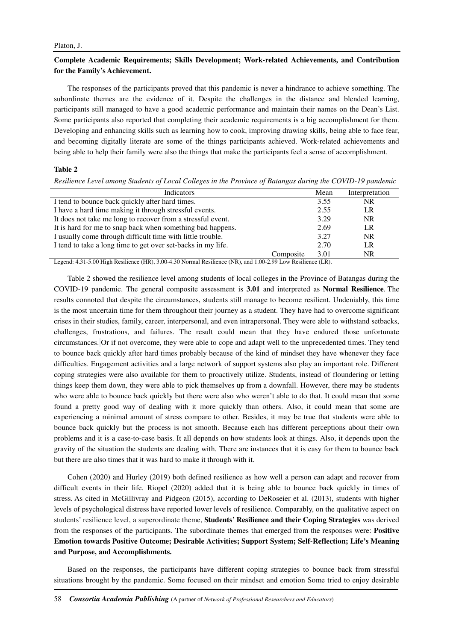# **Complete Academic Requirements; Skills Development; Work-related Achievements, and Contribution for the Family's Achievement.**

The responses of the participants proved that this pandemic is never a hindrance to achieve something. The subordinate themes are the evidence of it. Despite the challenges in the distance and blended learning, participants still managed to have a good academic performance and maintain their names on the Dean's List. Some participants also reported that completing their academic requirements is a big accomplishment for them. Developing and enhancing skills such as learning how to cook, improving drawing skills, being able to face fear, and becoming digitally literate are some of the things participants achieved. Work-related achievements and being able to help their family were also the things that make the participants feel a sense of accomplishment.

# **Table 2**

*Resilience Level among Students of Local Colleges in the Province of Batangas during the COVID-19 pandemic* 

| Indicators                                                   |           | Mean | Interpretation |
|--------------------------------------------------------------|-----------|------|----------------|
| I tend to bounce back quickly after hard times.              |           | 3.55 | <b>NR</b>      |
| I have a hard time making it through stressful events.       |           | 2.55 | LR             |
| It does not take me long to recover from a stressful event.  |           | 3.29 | <b>NR</b>      |
| It is hard for me to snap back when something bad happens.   |           | 2.69 | LR             |
| I usually come through difficult time with little trouble.   |           | 3.27 | <b>NR</b>      |
| I tend to take a long time to get over set-backs in my life. |           | 2.70 | LR             |
|                                                              | Composite | 3.01 | <b>NR</b>      |

Legend: 4.31-5.00 High Resilience (HR), 3.00-4.30 Normal Resilience (NR), and 1.00-2.99 Low Resilience (LR).

Table 2 showed the resilience level among students of local colleges in the Province of Batangas during the COVID-19 pandemic. The general composite assessment is **3.01** and interpreted as **Normal Resilience**. The results connoted that despite the circumstances, students still manage to become resilient. Undeniably, this time is the most uncertain time for them throughout their journey as a student. They have had to overcome significant crises in their studies, family, career, interpersonal, and even intrapersonal. They were able to withstand setbacks, challenges, frustrations, and failures. The result could mean that they have endured those unfortunate circumstances. Or if not overcome, they were able to cope and adapt well to the unprecedented times. They tend to bounce back quickly after hard times probably because of the kind of mindset they have whenever they face difficulties. Engagement activities and a large network of support systems also play an important role. Different coping strategies were also available for them to proactively utilize. Students, instead of floundering or letting things keep them down, they were able to pick themselves up from a downfall. However, there may be students who were able to bounce back quickly but there were also who weren't able to do that. It could mean that some found a pretty good way of dealing with it more quickly than others. Also, it could mean that some are experiencing a minimal amount of stress compare to other. Besides, it may be true that students were able to bounce back quickly but the process is not smooth. Because each has different perceptions about their own problems and it is a case-to-case basis. It all depends on how students look at things. Also, it depends upon the gravity of the situation the students are dealing with. There are instances that it is easy for them to bounce back but there are also times that it was hard to make it through with it.

Cohen (2020) and Hurley (2019) both defined resilience as how well a person can adapt and recover from difficult events in their life. Riopel (2020) added that it is being able to bounce back quickly in times of stress. As cited in McGillivray and Pidgeon (2015), according to DeRoseier et al. (2013), students with higher levels of psychological distress have reported lower levels of resilience. Comparably, on the qualitative aspect on students' resilience level, a superordinate theme, **Students' Resilience and their Coping Strategies** was derived from the responses of the participants. The subordinate themes that emerged from the responses were: **Positive Emotion towards Positive Outcome; Desirable Activities; Support System; Self-Reflection; Life's Meaning and Purpose, and Accomplishments.**

Based on the responses, the participants have different coping strategies to bounce back from stressful situations brought by the pandemic. Some focused on their mindset and emotion Some tried to enjoy desirable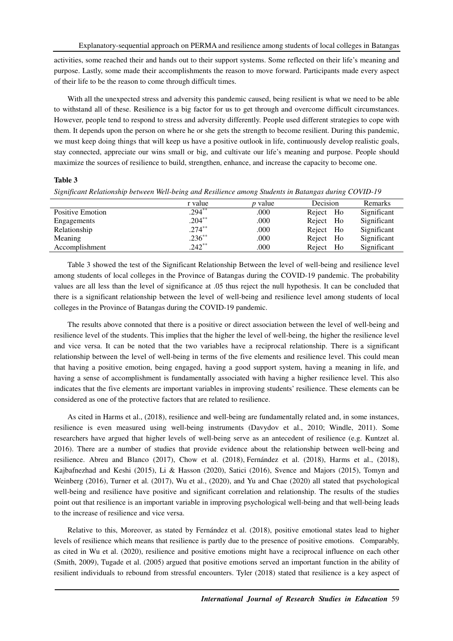activities, some reached their and hands out to their support systems. Some reflected on their life's meaning and purpose. Lastly, some made their accomplishments the reason to move forward. Participants made every aspect of their life to be the reason to come through difficult times.

With all the unexpected stress and adversity this pandemic caused, being resilient is what we need to be able to withstand all of these. Resilience is a big factor for us to get through and overcome difficult circumstances. However, people tend to respond to stress and adversity differently. People used different strategies to cope with them. It depends upon the person on where he or she gets the strength to become resilient. During this pandemic, we must keep doing things that will keep us have a positive outlook in life, continuously develop realistic goals, stay connected, appreciate our wins small or big, and cultivate our life's meaning and purpose. People should maximize the sources of resilience to build, strengthen, enhance, and increase the capacity to become one.

# **Table 3**

|  | Significant Relationship between Well-being and Resilience among Students in Batangas during COVID-19 |  |  |
|--|-------------------------------------------------------------------------------------------------------|--|--|
|  |                                                                                                       |  |  |

|                  | r value   | <i>p</i> value | Decision     | Remarks     |
|------------------|-----------|----------------|--------------|-------------|
| Positive Emotion | $.294***$ | .000           | Reject Ho    | Significant |
| Engagements      | $.204***$ | .000           | Reject<br>Ho | Significant |
| Relationship     | $.274***$ | .000           | Ho<br>Reject | Significant |
| Meaning          | $.236**$  | .000           | Ho<br>Reject | Significant |
| Accomplishment   | $242**$   | .000           | Reject<br>Ho | Significant |

Table 3 showed the test of the Significant Relationship Between the level of well-being and resilience level among students of local colleges in the Province of Batangas during the COVID-19 pandemic. The probability values are all less than the level of significance at .05 thus reject the null hypothesis. It can be concluded that there is a significant relationship between the level of well-being and resilience level among students of local colleges in the Province of Batangas during the COVID-19 pandemic.

The results above connoted that there is a positive or direct association between the level of well-being and resilience level of the students. This implies that the higher the level of well-being, the higher the resilience level and vice versa. It can be noted that the two variables have a reciprocal relationship. There is a significant relationship between the level of well-being in terms of the five elements and resilience level. This could mean that having a positive emotion, being engaged, having a good support system, having a meaning in life, and having a sense of accomplishment is fundamentally associated with having a higher resilience level. This also indicates that the five elements are important variables in improving students' resilience. These elements can be considered as one of the protective factors that are related to resilience.

As cited in Harms et al., (2018), resilience and well-being are fundamentally related and, in some instances, resilience is even measured using well-being instruments (Davydov et al., 2010; Windle, 2011). Some researchers have argued that higher levels of well-being serve as an antecedent of resilience (e.g. Kuntzet al. 2016). There are a number of studies that provide evidence about the relationship between well-being and resilience. Abreu and Blanco (2017), Chow et al. (2018), Fernández et al. (2018), Harms et al., (2018), Kajbafnezhad and Keshi (2015), Li & Hasson (2020), Satici (2016), Svence and Majors (2015), Tomyn and Weinberg (2016), Turner et al. (2017), Wu et al., (2020), and Yu and Chae (2020) all stated that psychological well-being and resilience have positive and significant correlation and relationship. The results of the studies point out that resilience is an important variable in improving psychological well-being and that well-being leads to the increase of resilience and vice versa.

Relative to this, Moreover, as stated by Fernández et al. (2018), positive emotional states lead to higher levels of resilience which means that resilience is partly due to the presence of positive emotions. Comparably, as cited in Wu et al. (2020), resilience and positive emotions might have a reciprocal influence on each other (Smith, 2009), Tugade et al. (2005) argued that positive emotions served an important function in the ability of resilient individuals to rebound from stressful encounters. Tyler (2018) stated that resilience is a key aspect of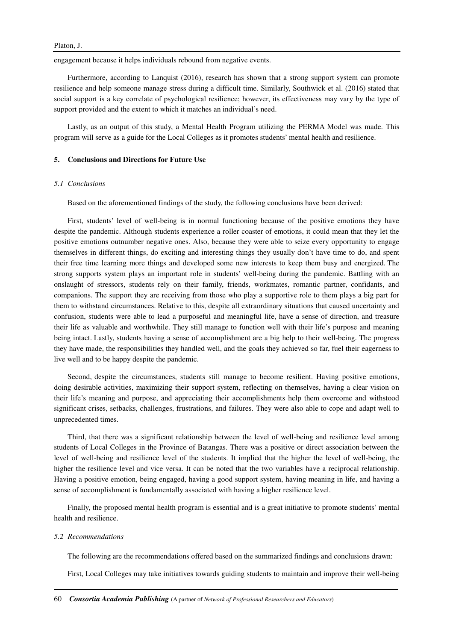engagement because it helps individuals rebound from negative events.

Furthermore, according to Lanquist (2016), research has shown that a strong support system can promote resilience and help someone manage stress during a difficult time. Similarly, Southwick et al. (2016) stated that social support is a key correlate of psychological resilience; however, its effectiveness may vary by the type of support provided and the extent to which it matches an individual's need.

Lastly, as an output of this study, a Mental Health Program utilizing the PERMA Model was made. This program will serve as a guide for the Local Colleges as it promotes students' mental health and resilience.

### **5. Conclusions and Directions for Future Use**

### *5.1 Conclusions*

Based on the aforementioned findings of the study, the following conclusions have been derived:

First, students' level of well-being is in normal functioning because of the positive emotions they have despite the pandemic. Although students experience a roller coaster of emotions, it could mean that they let the positive emotions outnumber negative ones. Also, because they were able to seize every opportunity to engage themselves in different things, do exciting and interesting things they usually don't have time to do, and spent their free time learning more things and developed some new interests to keep them busy and energized. The strong supports system plays an important role in students' well-being during the pandemic. Battling with an onslaught of stressors, students rely on their family, friends, workmates, romantic partner, confidants, and companions. The support they are receiving from those who play a supportive role to them plays a big part for them to withstand circumstances. Relative to this, despite all extraordinary situations that caused uncertainty and confusion, students were able to lead a purposeful and meaningful life, have a sense of direction, and treasure their life as valuable and worthwhile. They still manage to function well with their life's purpose and meaning being intact. Lastly, students having a sense of accomplishment are a big help to their well-being. The progress they have made, the responsibilities they handled well, and the goals they achieved so far, fuel their eagerness to live well and to be happy despite the pandemic.

Second, despite the circumstances, students still manage to become resilient. Having positive emotions, doing desirable activities, maximizing their support system, reflecting on themselves, having a clear vision on their life's meaning and purpose, and appreciating their accomplishments help them overcome and withstood significant crises, setbacks, challenges, frustrations, and failures. They were also able to cope and adapt well to unprecedented times.

Third, that there was a significant relationship between the level of well-being and resilience level among students of Local Colleges in the Province of Batangas. There was a positive or direct association between the level of well-being and resilience level of the students. It implied that the higher the level of well-being, the higher the resilience level and vice versa. It can be noted that the two variables have a reciprocal relationship. Having a positive emotion, being engaged, having a good support system, having meaning in life, and having a sense of accomplishment is fundamentally associated with having a higher resilience level.

Finally, the proposed mental health program is essential and is a great initiative to promote students' mental health and resilience.

# *5.2 Recommendations*

The following are the recommendations offered based on the summarized findings and conclusions drawn:

First, Local Colleges may take initiatives towards guiding students to maintain and improve their well-being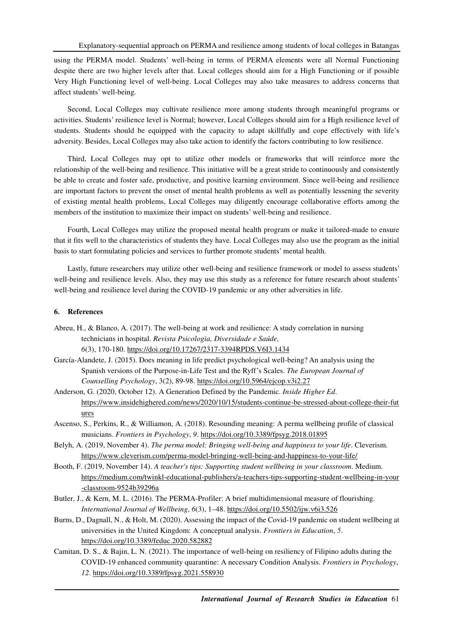using the PERMA model. Students' well-being in terms of PERMA elements were all Normal Functioning despite there are two higher levels after that. Local colleges should aim for a High Functioning or if possible Very High Functioning level of well-being. Local Colleges may also take measures to address concerns that affect students' well-being.

Second, Local Colleges may cultivate resilience more among students through meaningful programs or activities. Students' resilience level is Normal; however, Local Colleges should aim for a High resilience level of students. Students should be equipped with the capacity to adapt skillfully and cope effectively with life's adversity. Besides, Local Colleges may also take action to identify the factors contributing to low resilience.

Third, Local Colleges may opt to utilize other models or frameworks that will reinforce more the relationship of the well-being and resilience. This initiative will be a great stride to continuously and consistently be able to create and foster safe, productive, and positive learning environment. Since well-being and resilience are important factors to prevent the onset of mental health problems as well as potentially lessening the severity of existing mental health problems, Local Colleges may diligently encourage collaborative efforts among the members of the institution to maximize their impact on students' well-being and resilience.

Fourth, Local Colleges may utilize the proposed mental health program or make it tailored-made to ensure that it fits well to the characteristics of students they have. Local Colleges may also use the program as the initial basis to start formulating policies and services to further promote students' mental health.

Lastly, future researchers may utilize other well-being and resilience framework or model to assess students' well-being and resilience levels. Also, they may use this study as a reference for future research about students' well-being and resilience level during the COVID-19 pandemic or any other adversities in life.

# **6. References**

- Abreu, H., & Blanco, A. (2017). The well-being at work and resilience: A study correlation in nursing technicians in hospital. *Revista Psicologia, Diversidade e Saúde, 6*(3), 170-180. https://doi.org/10.17267/2317-3394RPDS.V6I3.1434
- García-Alandete, J. (2015). Does meaning in life predict psychological well-being? An analysis using the Spanish versions of the Purpose-in-Life Test and the Ryff's Scales. *The European Journal of Counselling Psychology*, 3(2), 89-98. https://doi.org/10.5964/ejcop.v3i2.27
- Anderson, G. (2020, October 12). A Generation Defined by the Pandemic. *Inside Higher Ed*. https://www.insidehighered.com/news/2020/10/15/students-continue-be-stressed-about-college-their-fut ures
- Ascenso, S., Perkins, R., & Williamon, A. (2018). Resounding meaning: A perma wellbeing profile of classical musicians. *Frontiers in Psychology*, *9*. https://doi.org/10.3389/fpsyg.2018.01895
- Belyh, A. (2019, November 4). *The perma model: Bringing well-being and happiness to your life*. Cleverism. https://www.cleverism.com/perma-model-bringing-well-being-and-happiness-to-your-life/
- Booth, F. (2019, November 14). *A teacher's tips: Supporting student wellbeing in your classroom*. Medium. https://medium.com/twinkl-educational-publishers/a-teachers-tips-supporting-student-wellbeing-in-your -classroom-9524b39296a
- Butler, J., & Kern, M. L. (2016). The PERMA-Profiler: A brief multidimensional measure of flourishing. *International Journal of Wellbeing*, *6*(3), 1–48. https://doi.org/10.5502/ijw.v6i3.526
- Burns, D., Dagnall, N., & Holt, M. (2020). Assessing the impact of the Covid-19 pandemic on student wellbeing at universities in the United Kingdom: A conceptual analysis. *Frontiers in Education*, *5*. https://doi.org/10.3389/feduc.2020.582882
- Camitan, D. S., & Bajin, L. N. (2021). The importance of well-being on resiliency of Filipino adults during the COVID-19 enhanced community quarantine: A necessary Condition Analysis. *Frontiers in Psychology*, *12*. https://doi.org/10.3389/fpsyg.2021.558930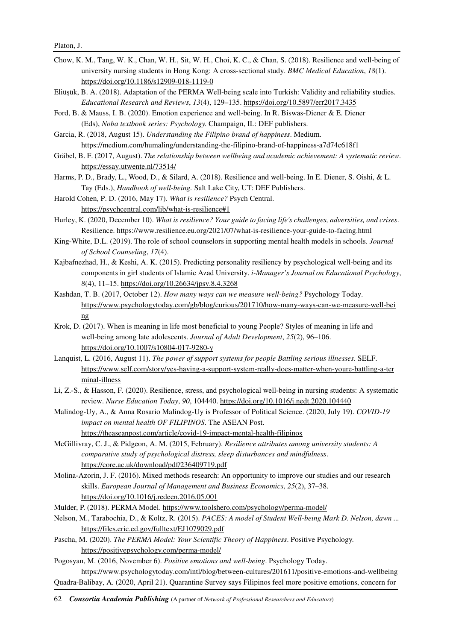- Chow, K. M., Tang, W. K., Chan, W. H., Sit, W. H., Choi, K. C., & Chan, S. (2018). Resilience and well-being of university nursing students in Hong Kong: A cross-sectional study. *BMC Medical Education*, *18*(1). https://doi.org/10.1186/s12909-018-1119-0
- Eliüşük, B. A. (2018). Adaptation of the PERMA Well-being scale into Turkish: Validity and reliability studies. *Educational Research and Reviews*, *13*(4), 129–135. https://doi.org/10.5897/err2017.3435
- Ford, B. & Mauss, I. B. (2020). Emotion experience and well-being. In R. Biswas-Diener & E. Diener (Eds), *Noba textbook series: Psychology.* Champaign, IL: DEF publishers.
- Garcia, R. (2018, August 15). *Understanding the Filipino brand of happiness*. Medium. https://medium.com/humaling/understanding-the-filipino-brand-of-happiness-a7d74c618f1
- Gräbel, B. F. (2017, August). *The relationship between wellbeing and academic achievement: A systematic review*. https://essay.utwente.nl/73514/
- Harms, P. D., Brady, L., Wood, D., & Silard, A. (2018). Resilience and well-being. In E. Diener, S. Oishi, & L. Tay (Eds.), *Handbook of well-being.* Salt Lake City, UT: DEF Publishers.
- Harold Cohen, P. D. (2016, May 17). *What is resilience?* Psych Central. https://psychcentral.com/lib/what-is-resilience#1
- Hurley, K. (2020, December 10). *What is resilience? Your guide to facing life's challenges, adversities, and crises*. Resilience. https://www.resilience.eu.org/2021/07/what-is-resilience-your-guide-to-facing.html
- King-White, D.L. (2019). The role of school counselors in supporting mental health models in schools. *Journal of School Counseling*, *17*(4).
- Kajbafnezhad, H., & Keshi, A. K. (2015). Predicting personality resiliency by psychological well-being and its components in girl students of Islamic Azad University. *i-Manager's Journal on Educational Psychology*, *8*(4), 11–15. https://doi.org/10.26634/jpsy.8.4.3268
- Kashdan, T. B. (2017, October 12). *How many ways can we measure well-being?* Psychology Today. https://www.psychologytoday.com/gb/blog/curious/201710/how-many-ways-can-we-measure-well-bei ng
- Krok, D. (2017). When is meaning in life most beneficial to young People? Styles of meaning in life and well-being among late adolescents. *Journal of Adult Development*, *25*(2), 96–106. https://doi.org/10.1007/s10804-017-9280-y
- Lanquist, L. (2016, August 11). *The power of support systems for people Battling serious illnesses*. SELF. https://www.self.com/story/yes-having-a-support-system-really-does-matter-when-youre-battling-a-ter minal-illness
- Li, Z.-S., & Hasson, F. (2020). Resilience, stress, and psychological well-being in nursing students: A systematic review. *Nurse Education Today*, *90*, 104440. https://doi.org/10.1016/j.nedt.2020.104440
- Malindog-Uy, A., & Anna Rosario Malindog-Uy is Professor of Political Science. (2020, July 19). *COVID-19 impact on mental health OF FILIPINOS*. The ASEAN Post. https://theaseanpost.com/article/covid-19-impact-mental-health-filipinos
- McGillivray, C. J., & Pidgeon, A. M. (2015, February). *Resilience attributes among university students: A comparative study of psychological distress, sleep disturbances and mindfulness*. https://core.ac.uk/download/pdf/236409719.pdf
- Molina-Azorin, J. F. (2016). Mixed methods research: An opportunity to improve our studies and our research skills. *European Journal of Management and Business Economics*, *25*(2), 37–38. https://doi.org/10.1016/j.redeen.2016.05.001
- Mulder, P. (2018). PERMA Model. https://www.toolshero.com/psychology/perma-model/
- Nelson, M., Tarabochia, D., & Koltz, R. (2015). *PACES: A model of Student Well-being Mark D. Nelson, dawn ...* https://files.eric.ed.gov/fulltext/EJ1079029.pdf
- Pascha, M. (2020). *The PERMA Model: Your Scientific Theory of Happiness*. Positive Psychology. https://positivepsychology.com/perma-model/
- Pogosyan, M. (2016, November 6). *Positive emotions and well-being*. Psychology Today. https://www.psychologytoday.com/intl/blog/between-cultures/201611/positive-emotions-and-wellbeing Quadra-Balibay, A. (2020, April 21). Quarantine Survey says Filipinos feel more positive emotions, concern for
- 62 *Consortia Academia Publishing* (A partner of *Network of Professional Researchers and Educators*)